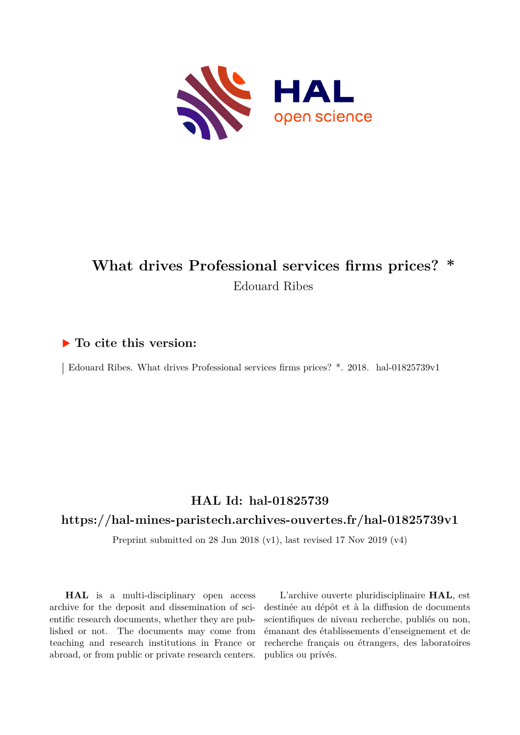

# **What drives Professional services firms prices? \*** Edouard Ribes

# **To cite this version:**

Edouard Ribes. What drives Professional services firms prices? \*. 2018. hal-01825739v1

# **HAL Id: hal-01825739**

# **<https://hal-mines-paristech.archives-ouvertes.fr/hal-01825739v1>**

Preprint submitted on 28 Jun 2018 (v1), last revised 17 Nov 2019 (v4)

**HAL** is a multi-disciplinary open access archive for the deposit and dissemination of scientific research documents, whether they are published or not. The documents may come from teaching and research institutions in France or abroad, or from public or private research centers.

L'archive ouverte pluridisciplinaire **HAL**, est destinée au dépôt et à la diffusion de documents scientifiques de niveau recherche, publiés ou non, émanant des établissements d'enseignement et de recherche français ou étrangers, des laboratoires publics ou privés.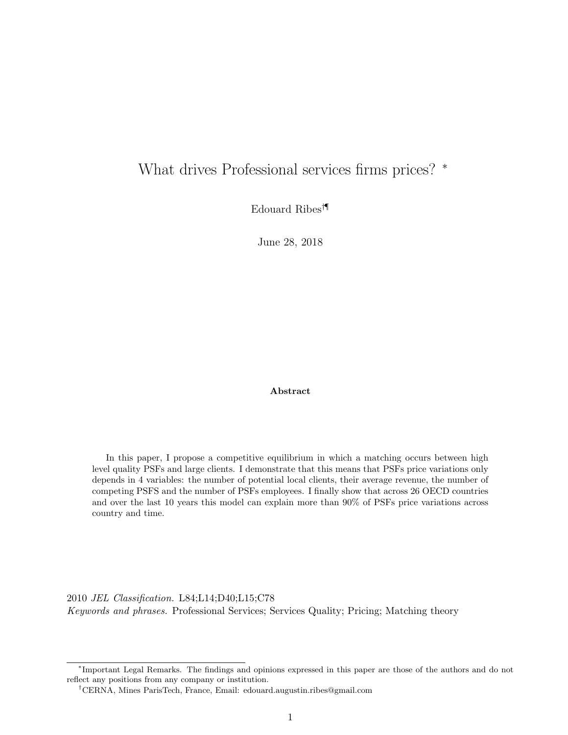# What drives Professional services firms prices? <sup>∗</sup>

Edouard Ribes†¶

June 28, 2018

Abstract

In this paper, I propose a competitive equilibrium in which a matching occurs between high level quality PSFs and large clients. I demonstrate that this means that PSFs price variations only depends in 4 variables: the number of potential local clients, their average revenue, the number of competing PSFS and the number of PSFs employees. I finally show that across 26 OECD countries and over the last 10 years this model can explain more than 90% of PSFs price variations across country and time.

2010 JEL Classification. L84;L14;D40;L15;C78 Keywords and phrases. Professional Services; Services Quality; Pricing; Matching theory

<sup>∗</sup> Important Legal Remarks. The findings and opinions expressed in this paper are those of the authors and do not reflect any positions from any company or institution.

<sup>†</sup>CERNA, Mines ParisTech, France, Email: edouard.augustin.ribes@gmail.com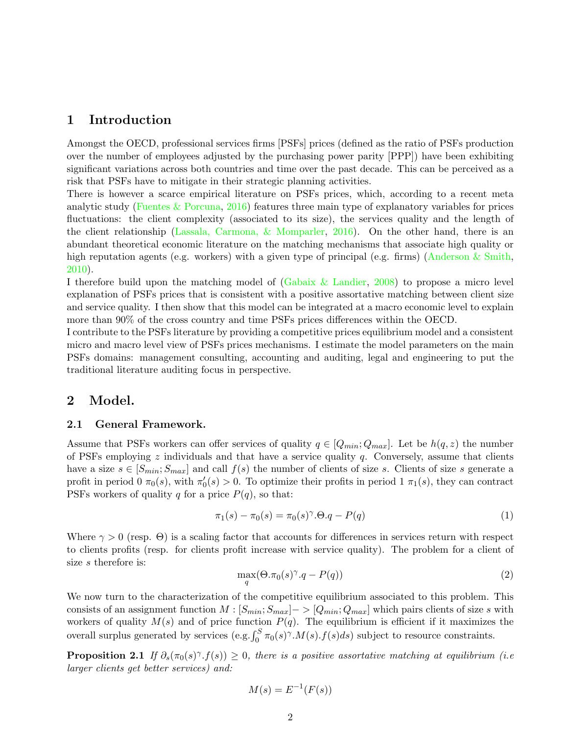### 1 Introduction

Amongst the OECD, professional services firms [PSFs] prices (defined as the ratio of PSFs production over the number of employees adjusted by the purchasing power parity [PPP]) have been exhibiting significant variations across both countries and time over the past decade. This can be perceived as a risk that PSFs have to mitigate in their strategic planning activities.

There is however a scarce empirical literature on PSFs prices, which, according to a recent meta analytic study (Fuentes & Porcuna, 2016) features three main type of explanatory variables for prices fluctuations: the client complexity (associated to its size), the services quality and the length of the client relationship (Lassala, Carmona, & Momparler, 2016). On the other hand, there is an abundant theoretical economic literature on the matching mechanisms that associate high quality or high reputation agents (e.g. workers) with a given type of principal (e.g. firms) (Anderson & Smith, 2010).

I therefore build upon the matching model of (Gabaix & Landier, 2008) to propose a micro level explanation of PSFs prices that is consistent with a positive assortative matching between client size and service quality. I then show that this model can be integrated at a macro economic level to explain more than 90% of the cross country and time PSFs prices differences within the OECD.

I contribute to the PSFs literature by providing a competitive prices equilibrium model and a consistent micro and macro level view of PSFs prices mechanisms. I estimate the model parameters on the main PSFs domains: management consulting, accounting and auditing, legal and engineering to put the traditional literature auditing focus in perspective.

### 2 Model.

#### 2.1 General Framework.

Assume that PSFs workers can offer services of quality  $q \in [Q_{min}; Q_{max}]$ . Let be  $h(q, z)$  the number of PSFs employing  $z$  individuals and that have a service quality  $q$ . Conversely, assume that clients have a size  $s \in [S_{min}; S_{max}]$  and call  $f(s)$  the number of clients of size s. Clients of size s generate a profit in period  $0 \pi_0(s)$ , with  $\pi'_0(s) > 0$ . To optimize their profits in period  $1 \pi_1(s)$ , they can contract PSFs workers of quality q for a price  $P(q)$ , so that:

$$
\pi_1(s) - \pi_0(s) = \pi_0(s)^\gamma \cdot \Theta \cdot q - P(q) \tag{1}
$$

Where  $\gamma > 0$  (resp.  $\Theta$ ) is a scaling factor that accounts for differences in services return with respect to clients profits (resp. for clients profit increase with service quality). The problem for a client of size s therefore is:

$$
\max_{q} (\Theta. \pi_0(s)^\gamma . q - P(q)) \tag{2}
$$

We now turn to the characterization of the competitive equilibrium associated to this problem. This consists of an assignment function  $M : [S_{min}; S_{max}]->[Q_{min}; Q_{max}]$  which pairs clients of size s with workers of quality  $M(s)$  and of price function  $P(q)$ . The equilibrium is efficient if it maximizes the overall surplus generated by services  $(e.g., \int_0^S \pi_0(s)^\gamma \cdot M(s) \cdot f(s) ds)$  subject to resource constraints.

**Proposition 2.1** If  $\partial_s(\pi_0(s)^\gamma f(s)) \geq 0$ , there is a positive assortative matching at equilibrium (i.e. larger clients get better services) and:

$$
M(s) = E^{-1}(F(s))
$$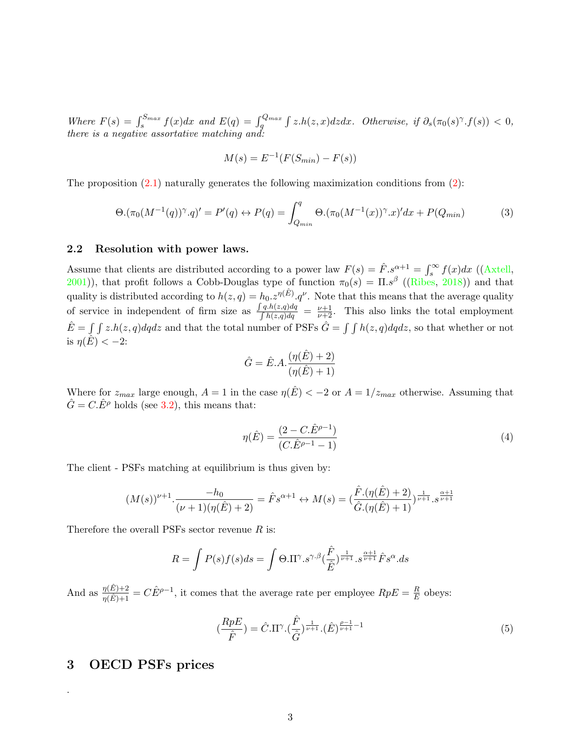Where  $F(s) = \int_s^{S_{max}} f(x)dx$  and  $E(q) = \int_q^{Q_{max}} \int z \cdot h(z, x)dzdx$ . Otherwise, if  $\partial_s(\pi_0(s)^\gamma \cdot f(s)) < 0$ , there is a negative assortative matching and:

$$
M(s) = E^{-1}(F(S_{min}) - F(s))
$$

The proposition  $(2.1)$  naturally generates the following maximization conditions from  $(2)$ :

$$
\Theta.(\pi_0(M^{-1}(q))^{\gamma}.q)' = P'(q) \leftrightarrow P(q) = \int_{Q_{min}}^q \Theta.(\pi_0(M^{-1}(x))^{\gamma}.x)'dx + P(Q_{min})
$$
(3)

#### 2.2 Resolution with power laws.

Assume that clients are distributed according to a power law  $F(s) = \hat{F} s^{\alpha+1} = \int_{s}^{\infty} f(x) dx$  ((Axtell, Assume that chemis are distributed according to a power law  $F(s) = F.s$  =  $J_s$   $f(x)dx$  ((Axten, 2001)), that profit follows a Cobb-Douglas type of function  $\pi_0(s) = \Pi.s^{\beta}$  ((Ribes, 2018)) and that quality is distributed according to  $h(z,q) = h_0 z^{\eta(\hat{E})} q^{\nu}$ . Note that this means that the average quality of service in independent of firm size as  $\frac{\int q_h(z,q) dq}{\int h(z,q) dq}$  $\frac{q \cdot h(z,q) dq}{\int h(z,q) dq} = \frac{\nu+1}{\nu+2}$ . This also links the total employment  $\hat{E} = \int \int z \cdot h(z, q) dq dz$  and that the total number of PSFs  $\hat{G} = \int \int h(z, q) dq dz$ , so that whether or not is  $\eta(\hat{E}) < -2$ :

$$
\hat{G} = \hat{E} A \cdot \frac{(\eta(\hat{E}) + 2)}{(\eta(\hat{E}) + 1)}
$$

Where for  $z_{max}$  large enough,  $A = 1$  in the case  $\eta(\hat{E}) < -2$  or  $A = 1/z_{max}$  otherwise. Assuming that  $\hat{G} = C \hat{E}^{\rho}$  holds (see 3.2), this means that:

$$
\eta(\hat{E}) = \frac{(2 - C \cdot \hat{E}^{\rho - 1})}{(C \cdot \hat{E}^{\rho - 1} - 1)}
$$
\n(4)

The client - PSFs matching at equilibrium is thus given by:

$$
(M(s))^{\nu+1} \cdot \frac{-h_0}{(\nu+1)(\eta(\hat{E})+2)} = \hat{F} s^{\alpha+1} \leftrightarrow M(s) = (\frac{\hat{F} \cdot (\eta(\hat{E})+2)}{\hat{G} \cdot (\eta(\hat{E})+1)})^{\frac{1}{\nu+1}} \cdot s^{\frac{\alpha+1}{\nu+1}}
$$

Therefore the overall PSFs sector revenue  $R$  is:

$$
R = \int P(s)f(s)ds = \int \Theta.\Pi^{\gamma}.s^{\gamma.\beta}(\frac{\hat{F}}{\hat{E}})^{\frac{1}{\nu+1}}.s^{\frac{\alpha+1}{\nu+1}}\hat{F}s^{\alpha}.ds
$$

And as  $\frac{\eta(\hat{E})+2}{\eta(\hat{E})+1} = C \hat{E}^{\rho-1}$ , it comes that the average rate per employee  $RpE = \frac{R}{E}$  $\frac{R}{E}$  obeys:

$$
\left(\frac{RpE}{\hat{F}}\right) = \hat{C}.\Pi^{\gamma}\left(\frac{\hat{F}}{\hat{G}}\right)^{\frac{1}{\nu+1}}\left(\hat{E}\right)^{\frac{\rho-1}{\nu+1}-1}\tag{5}
$$

### 3 OECD PSFs prices

.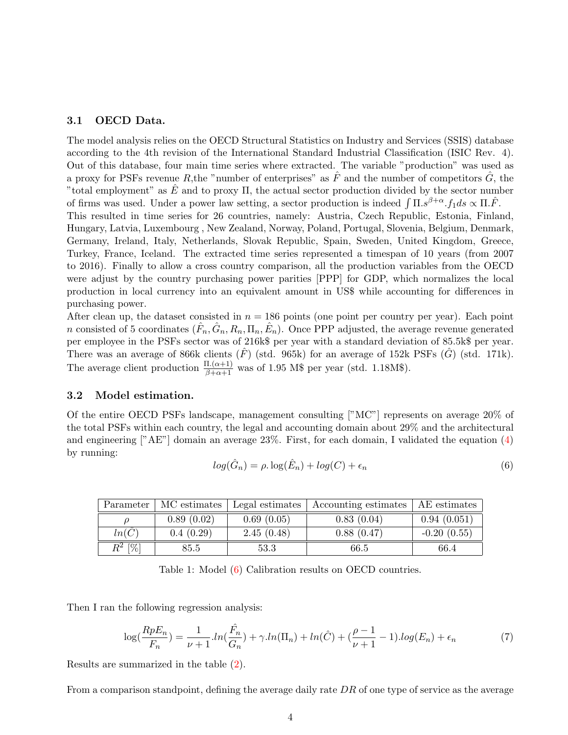#### 3.1 OECD Data.

The model analysis relies on the OECD Structural Statistics on Industry and Services (SSIS) database according to the 4th revision of the International Standard Industrial Classification (ISIC Rev. 4). Out of this database, four main time series where extracted. The variable "production" was used as a proxy for PSFs revenue R, the "number of enterprises" as  $\hat{F}$  and the number of competitors  $\hat{G}$ , the "total employment" as  $\hat{E}$  and to proxy  $\Pi$ , the actual sector production divided by the sector number of firms was used. Under a power law setting, a sector production is indeed  $\int \Pi . s^{\beta+\alpha} . f_1 ds \propto \Pi . \hat{F}$ . This resulted in time series for 26 countries, namely: Austria, Czech Republic, Estonia, Finland, Hungary, Latvia, Luxembourg , New Zealand, Norway, Poland, Portugal, Slovenia, Belgium, Denmark, Germany, Ireland, Italy, Netherlands, Slovak Republic, Spain, Sweden, United Kingdom, Greece, Turkey, France, Iceland. The extracted time series represented a timespan of 10 years (from 2007 to 2016). Finally to allow a cross country comparison, all the production variables from the OECD were adjust by the country purchasing power parities [PPP] for GDP, which normalizes the local production in local currency into an equivalent amount in US\$ while accounting for differences in purchasing power.

After clean up, the dataset consisted in  $n = 186$  points (one point per country per year). Each point n consisted of 5 coordinates  $(\hat{F}_n, \hat{G}_n, R_n, \Pi_n, \hat{E}_n)$ . Once PPP adjusted, the average revenue generated per employee in the PSFs sector was of 216k\$ per year with a standard deviation of 85.5k\$ per year. There was an average of 866k clients  $(\hat{F})$  (std. 965k) for an average of 152k PSFs  $(\hat{G})$  (std. 171k). The average client production  $\frac{\Pi.(\alpha+1)}{\beta+\alpha+1}$  was of 1.95 M\$ per year (std. 1.18M\$).

#### 3.2 Model estimation.

Of the entire OECD PSFs landscape, management consulting ["MC"] represents on average 20% of the total PSFs within each country, the legal and accounting domain about 29% and the architectural and engineering ["AE"] domain an average 23%. First, for each domain, I validated the equation (4) by running:

$$
log(\hat{G}_n) = \rho \cdot log(\hat{E}_n) + log(C) + \epsilon_n \tag{6}
$$

| Parameter | MC estimates | Legal estimates | Accounting estimates | AE estimates  |
|-----------|--------------|-----------------|----------------------|---------------|
|           | 0.89(0.02)   | 0.69(0.05)      | 0.83(0.04)           | 0.94(0.051)   |
| ln(C)     | 0.4(0.29)    | 2.45(0.48)      | 0.88(0.47)           | $-0.20(0.55)$ |
| $R^2$ [%] | 85.5         | 53.3            | 66.5                 | 66.4          |

Table 1: Model (6) Calibration results on OECD countries.

Then I ran the following regression analysis:

$$
\log(\frac{RpE_n}{F_n}) = \frac{1}{\nu+1} \cdot ln(\frac{\hat{F}_n}{G_n}) + \gamma \cdot ln(\Pi_n) + ln(\hat{C}) + (\frac{\rho-1}{\nu+1} - 1) \cdot log(E_n) + \epsilon_n \tag{7}
$$

Results are summarized in the table (2).

From a comparison standpoint, defining the average daily rate  $DR$  of one type of service as the average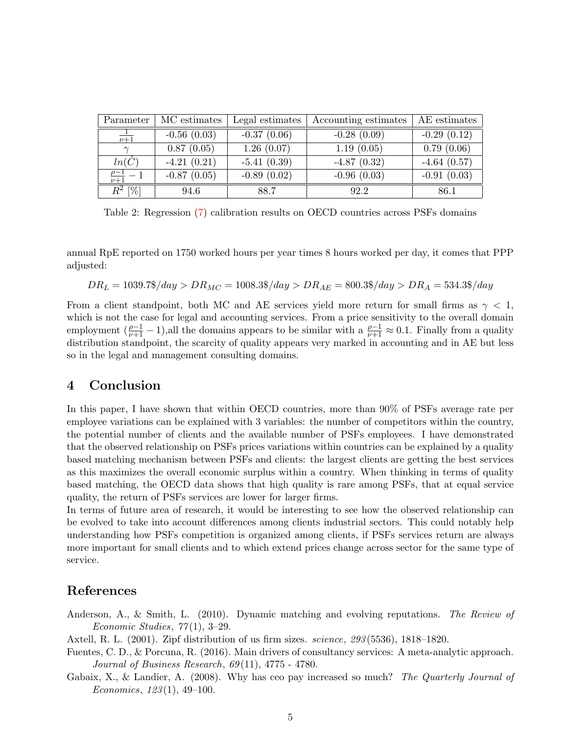| Parameter                | MC estimates  | Legal estimates | Accounting estimates | AE estimates  |
|--------------------------|---------------|-----------------|----------------------|---------------|
| $\overline{\nu+1}$       | $-0.56(0.03)$ | $-0.37(0.06)$   | $-0.28(0.09)$        | $-0.29(0.12)$ |
| $\sim$                   | 0.87(0.05)    | 1.26(0.07)      | 1.19(0.05)           | 0.79(0.06)    |
| $ln(\hat{C})$            | $-4.21(0.21)$ | $-5.41(0.39)$   | $-4.87(0.32)$        | $-4.64(0.57)$ |
| $\frac{\rho-1}{\nu+1}$ - | $-0.87(0.05)$ | $-0.89(0.02)$   | $-0.96(0.03)$        | $-0.91(0.03)$ |
| $R^2$ [%]                | 94.6          | 88.7            | 92.2                 | 86.1          |

Table 2: Regression (7) calibration results on OECD countries across PSFs domains

annual RpE reported on 1750 worked hours per year times 8 hours worked per day, it comes that PPP adjusted:

$$
DR_L = 1039.7\$/day > DR_{MC} = 1008.3\$/day > DR_{AE} = 800.3\$/day > DR_A = 534.3\%/day
$$

From a client standpoint, both MC and AE services yield more return for small firms as  $\gamma < 1$ , which is not the case for legal and accounting services. From a price sensitivity to the overall domain employment  $(\frac{\rho-1}{\nu+1}-1)$ ,all the domains appears to be similar with a  $\frac{\rho-1}{\nu+1}\approx 0.1$ . Finally from a quality distribution standpoint, the scarcity of quality appears very marked in accounting and in AE but less so in the legal and management consulting domains.

### 4 Conclusion

In this paper, I have shown that within OECD countries, more than 90% of PSFs average rate per employee variations can be explained with 3 variables: the number of competitors within the country, the potential number of clients and the available number of PSFs employees. I have demonstrated that the observed relationship on PSFs prices variations within countries can be explained by a quality based matching mechanism between PSFs and clients: the largest clients are getting the best services as this maximizes the overall economic surplus within a country. When thinking in terms of quality based matching, the OECD data shows that high quality is rare among PSFs, that at equal service quality, the return of PSFs services are lower for larger firms.

In terms of future area of research, it would be interesting to see how the observed relationship can be evolved to take into account differences among clients industrial sectors. This could notably help understanding how PSFs competition is organized among clients, if PSFs services return are always more important for small clients and to which extend prices change across sector for the same type of service.

## References

Anderson, A., & Smith, L. (2010). Dynamic matching and evolving reputations. The Review of Economic Studies,  $77(1)$ , 3-29.

Axtell, R. L. (2001). Zipf distribution of us firm sizes. science, 293 (5536), 1818–1820.

- Fuentes, C. D., & Porcuna, R. (2016). Main drivers of consultancy services: A meta-analytic approach. Journal of Business Research, 69 (11), 4775 - 4780.
- Gabaix, X., & Landier, A. (2008). Why has ceo pay increased so much? The Quarterly Journal of Economics, 123 (1), 49–100.